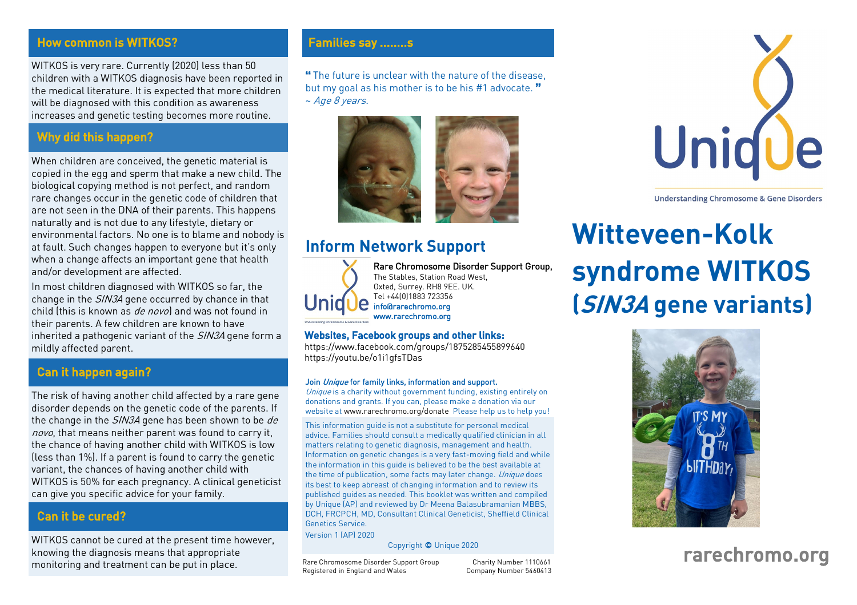#### **How common is WITKOS?** Families say .........s

WITKOS is very rare. Currently (2020) less than 50<br>children with a WITKOS diagnosis have been reported in the medical literature. It is expected that more children will be diagnosed with this condition as awareness will be diagnosed with this condition as awareness. increases and genetic testing becomes more routine.

# Why did this happen?

When children are conceived, the genetic material is copied in the eqq and sperm that make a new child. The biological copying method is not perfect, and random rare changes occur in the genetic code of children that are not seen in the DNA of their parents. This happens naturally and is not due to any lifestyle, dietary or environmental factors. No one is to blame and nobody is at fault. Such changes happen to everyone but it's only when a change affects an important gene that health and/or development are affected.

In most children diagnosed with WITKOS so far, the change in the *SIN3A* gene occurred by chance in that<br>child (this is known as *de novo*) and was not found in child (this is known as *de novo*) and was not found in<br>their parents. A few children are known to have inherited a pathogenic variant of the *SIN3A* gene form a<br>mildly affected parent mildly affected parents

#### Can it happen again?

The risk of having another child affected by a rare gene the change in the *SIN3A* gene has been shown to be *de* nove that means peither parent was found to carry it novo, that means neither parent was found to carry it,<br>the chance of having another child with WITKOS is low (less than  $1\%$ ). If a parent is found to carry the genetic variant, the chances of having another child with WITKOS is 50% for each pregnancy. A clinical geneticist WITHOS IS 50% for each pregnancy. A clinical generator can give you specific advice for your family.

# Can it be cured?

WITKOS cannot be cured at the present time however,<br>knowing the diagnosis means that appropriate monitoring and treatment can be put in place. monitoring and treatment can be put in place.

**"The future is unclear with the nature of the disease,**  $h$ **ut my goal as his mother is to be bis #1 advocate."** but my goal as his mother is to be his #1 advocate. "<br>~ *Age 8 vears*  $~\sim$  Age 8 years.



# **Inform Network Support**



Rare Chromosome Disorder Support Group,<br>The Stables, Station Road West, Oxted, Surrey. RH8 9EE. UK. Tel +44(0)1883 723356 info@rarechromo.org info@rarechromo.org

#### Websites, Facebook groups and other links:

[https://www.facebook.com/gro](https://youtu.be/o1i1gfsTDas)[ups/1875285455899640](https://www.facebook.com/groups/1875285455899640) https://word.be/o1ing/

www.rarechromo.org

#### Join Unique for family links, information and support.

Unique is a charity without government funding, existing entirely on donations and grants. If you can, please make a donation via our website at www.rarechromo.org/donate Please help us to help you!

This information quide is not a substitute for personal medical advice. Families should consult a medically qualified clinician in all matters relating to genetic diagnosis, management and health. Information on genetic changes is a very fast-moving field and while the information in this quide is believed to be the best available at the time of publication, some facts may later change. Unique does<br>its best to keep absents of changing information and to review its its best to keep abreast of changing information and to review its<br>published quides as needed. This booklet was written and compiled by Unique (AP) and reviewed by Dr Meena Balasubramanian MBBS. DCH, FRCPCH, MD, Consultant Clinical Geneticist, Sheffield Clinical Genetics Service.

Version 1 (AP) 2020 Version 1 (AP) 2020

Copyright © Unique 2020

Rare Chromosome Disorder Support Group<br>Registered in England and Wales Company Number 5460413  $\mathcal{L}$ 

Charity Number 1110661



**Understanding Chromosome & Gene Disorders** 

# **Witteveen-Kolk syndrome WITKOS (SIN3A gene variants)**



# rarechromo.org